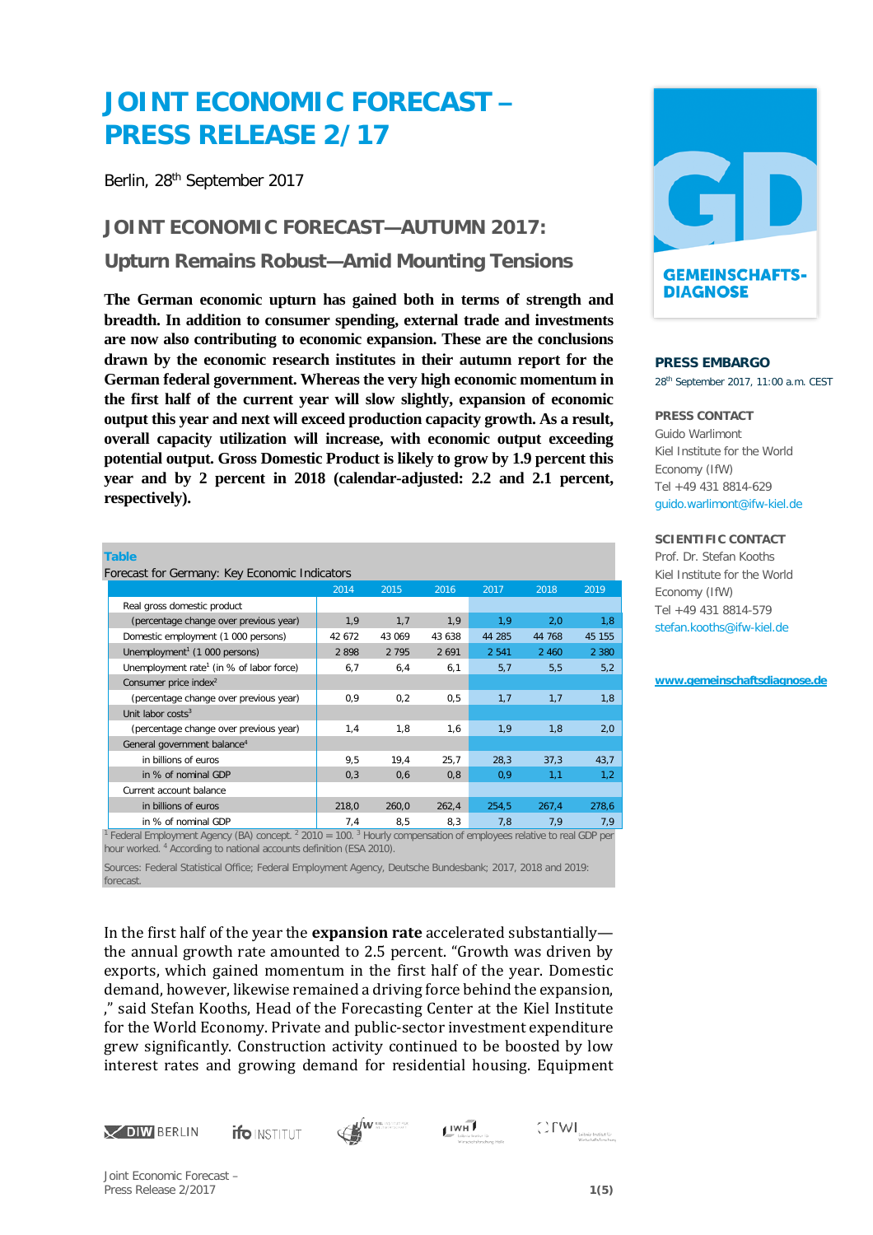# **JOINT ECONOMIC FORECAST – PRESS RELEASE 2/17**

Berlin, 28th September 2017

**JOINT ECONOMIC FORECAST—AUTUMN 2017: Upturn Remains Robust—Amid Mounting Tensions**

**The German economic upturn has gained both in terms of strength and breadth. In addition to consumer spending, external trade and investments are now also contributing to economic expansion. These are the conclusions drawn by the economic research institutes in their autumn report for the German federal government. Whereas the very high economic momentum in the first half of the current year will slow slightly, expansion of economic output this year and next will exceed production capacity growth. As a result, overall capacity utilization will increase, with economic output exceeding potential output. Gross Domestic Product is likely to grow by 1.9 percent this year and by 2 percent in 2018 (calendar-adjusted: 2.2 and 2.1 percent, respectively).**

| <b>Table</b>                                         |        |         |         |         |         |         |
|------------------------------------------------------|--------|---------|---------|---------|---------|---------|
| Forecast for Germany: Key Economic Indicators        |        |         |         |         |         |         |
|                                                      | 2014   | 2015    | 2016    | 2017    | 2018    | 2019    |
| Real gross domestic product                          |        |         |         |         |         |         |
| (percentage change over previous year)               | 1,9    | 1,7     | 1,9     | 1,9     | 2,0     | 1,8     |
| Domestic employment (1 000 persons)                  | 42 672 | 43 069  | 43 638  | 44 285  | 44 768  | 45 155  |
| Unemployment <sup>1</sup> (1 000 persons)            | 2898   | 2 7 9 5 | 2 6 9 1 | 2 5 4 1 | 2 4 6 0 | 2 3 8 0 |
| Unemployment rate <sup>1</sup> (in % of labor force) | 6,7    | 6,4     | 6,1     | 5,7     | 5,5     | 5,2     |
| Consumer price index <sup>2</sup>                    |        |         |         |         |         |         |
| (percentage change over previous year)               | 0,9    | 0,2     | 0,5     | 1,7     | 1,7     | 1,8     |
| Unit labor $costs3$                                  |        |         |         |         |         |         |
| (percentage change over previous year)               | 1,4    | 1,8     | 1,6     | 1,9     | 1,8     | 2,0     |
| General government balance <sup>4</sup>              |        |         |         |         |         |         |
| in billions of euros                                 | 9,5    | 19,4    | 25,7    | 28,3    | 37,3    | 43,7    |
| in % of nominal GDP                                  | 0,3    | 0,6     | 0,8     | 0,9     | 1,1     | 1,2     |
| Current account balance                              |        |         |         |         |         |         |
| in billions of euros                                 | 218,0  | 260,0   | 262,4   | 254,5   | 267,4   | 278,6   |
| in % of nominal GDP                                  | 7,4    | 8,5     | 8,3     | 7,8     | 7,9     | 7,9     |

<sup>1</sup> Federal Employment Agency (BA) concept. 2 2010 = 100. 3 Hourly compensation of employees relative to real GDP per hour worked. 4 According to national accounts definition (ESA 2010).

Sources: Federal Statistical Office; Federal Employment Agency, Deutsche Bundesbank; 2017, 2018 and 2019: forecast.

In the first half of the year the **expansion rate** accelerated substantially the annual growth rate amounted to 2.5 percent. "Growth was driven by exports, which gained momentum in the first half of the year. Domestic demand, however, likewise remained a driving force behind the expansion, ," said Stefan Kooths, Head of the Forecasting Center at the Kiel Institute for the World Economy. Private and public-sector investment expenditure grew significantly. Construction activity continued to be boosted by low interest rates and growing demand for residential housing. Equipment



**ifo** INSTITUT







### **PRESS EMBARGO**

28th September 2017, 11:00 a.m. CEST

#### **PRESS CONTACT**

Guido Warlimont Kiel Institute for the World Economy (IfW) Tel +49 431 8814-629 [guido.warlimont@ifw-kiel.de](mailto:presse@iwh-halle.de)

#### **SCIENTIFIC CONTACT**

Prof. Dr. Stefan Kooths Kiel Institute for the World Economy (IfW) Tel +49 431 8814-579 stefan.kooths@ifw-kiel.de

**[www.gemeinschaftsdiagnose.de](http://www.gemeinschaftsdiagnose.de/)**

Joint Economic Forecast – Press Release 2/2017 **1(5)**

 $\bigcirc \text{FWI}_{\text{lebit:Instituting}}$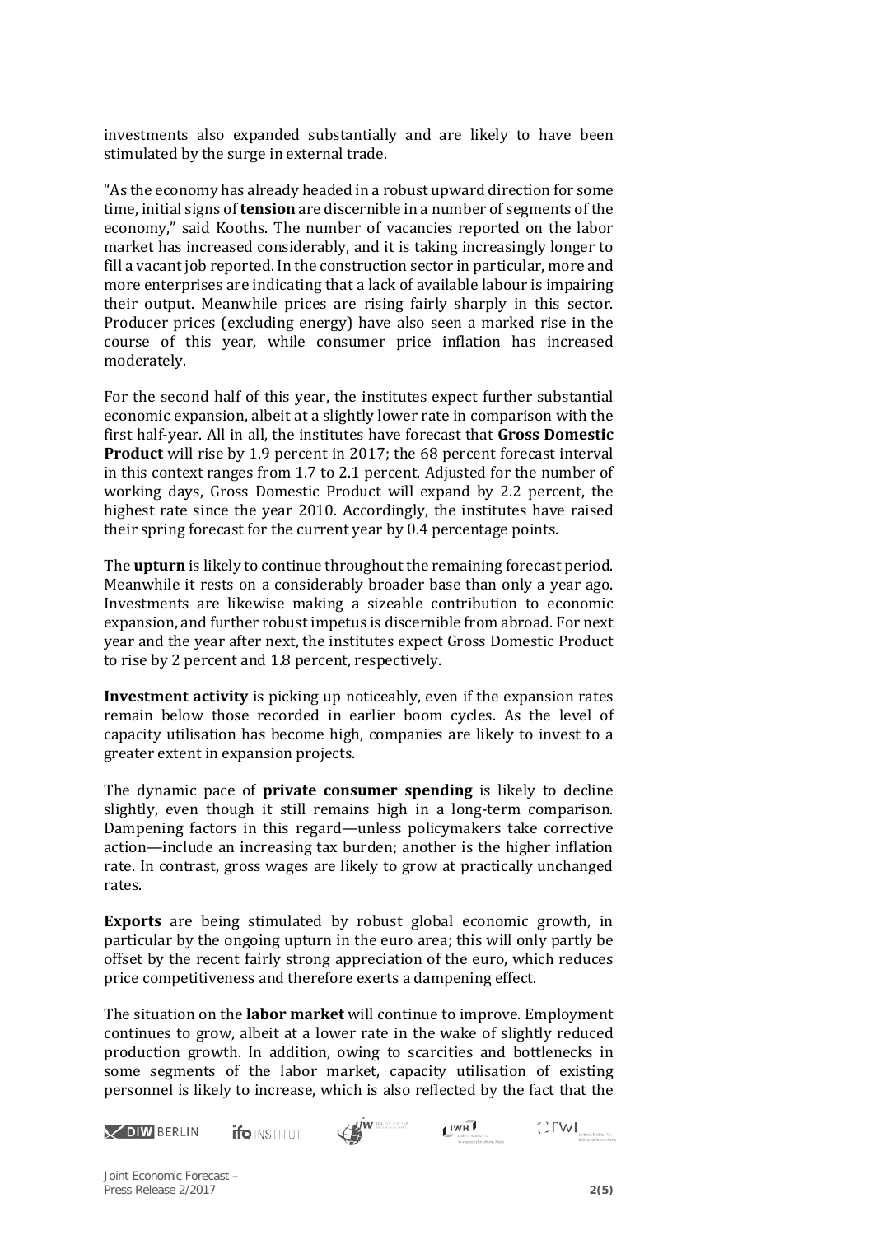investments also expanded substantially and are likely to have been stimulated by the surge in external trade.

"As the economy has already headed in a robust upward direction for some time, initial signs of **tension** are discernible in a number of segments of the economy," said Kooths. The number of vacancies reported on the labor market has increased considerably, and it is taking increasingly longer to fill a vacant job reported. In the construction sector in particular, more and more enterprises are indicating that a lack of available labour is impairing their output. Meanwhile prices are rising fairly sharply in this sector. Producer prices (excluding energy) have also seen a marked rise in the course of this year, while consumer price inflation has increased moderately.

For the second half of this year, the institutes expect further substantial economic expansion, albeit at a slightly lower rate in comparison with the first half-year. All in all, the institutes have forecast that **Gross Domestic Product** will rise by 1.9 percent in 2017; the 68 percent forecast interval in this context ranges from 1.7 to 2.1 percent. Adjusted for the number of working days, Gross Domestic Product will expand by 2.2 percent, the highest rate since the year 2010. Accordingly, the institutes have raised their spring forecast for the current year by 0.4 percentage points.

The **upturn** is likely to continue throughout the remaining forecast period. Meanwhile it rests on a considerably broader base than only a year ago. Investments are likewise making a sizeable contribution to economic expansion, and further robust impetus is discernible from abroad. For next year and the year after next, the institutes expect Gross Domestic Product to rise by 2 percent and 1.8 percent, respectively.

**Investment activity** is picking up noticeably, even if the expansion rates remain below those recorded in earlier boom cycles. As the level of capacity utilisation has become high, companies are likely to invest to a greater extent in expansion projects.

The dynamic pace of **private consumer spending** is likely to decline slightly, even though it still remains high in a long-term comparison. Dampening factors in this regard—unless policymakers take corrective action—include an increasing tax burden; another is the higher inflation rate. In contrast, gross wages are likely to grow at practically unchanged rates.

**Exports** are being stimulated by robust global economic growth, in particular by the ongoing upturn in the euro area; this will only partly be offset by the recent fairly strong appreciation of the euro, which reduces price competitiveness and therefore exerts a dampening effect.

The situation on the **labor market** will continue to improve. Employment continues to grow, albeit at a lower rate in the wake of slightly reduced production growth. In addition, owing to scarcities and bottlenecks in some segments of the labor market, capacity utilisation of existing personnel is likely to increase, which is also reflected by the fact that the







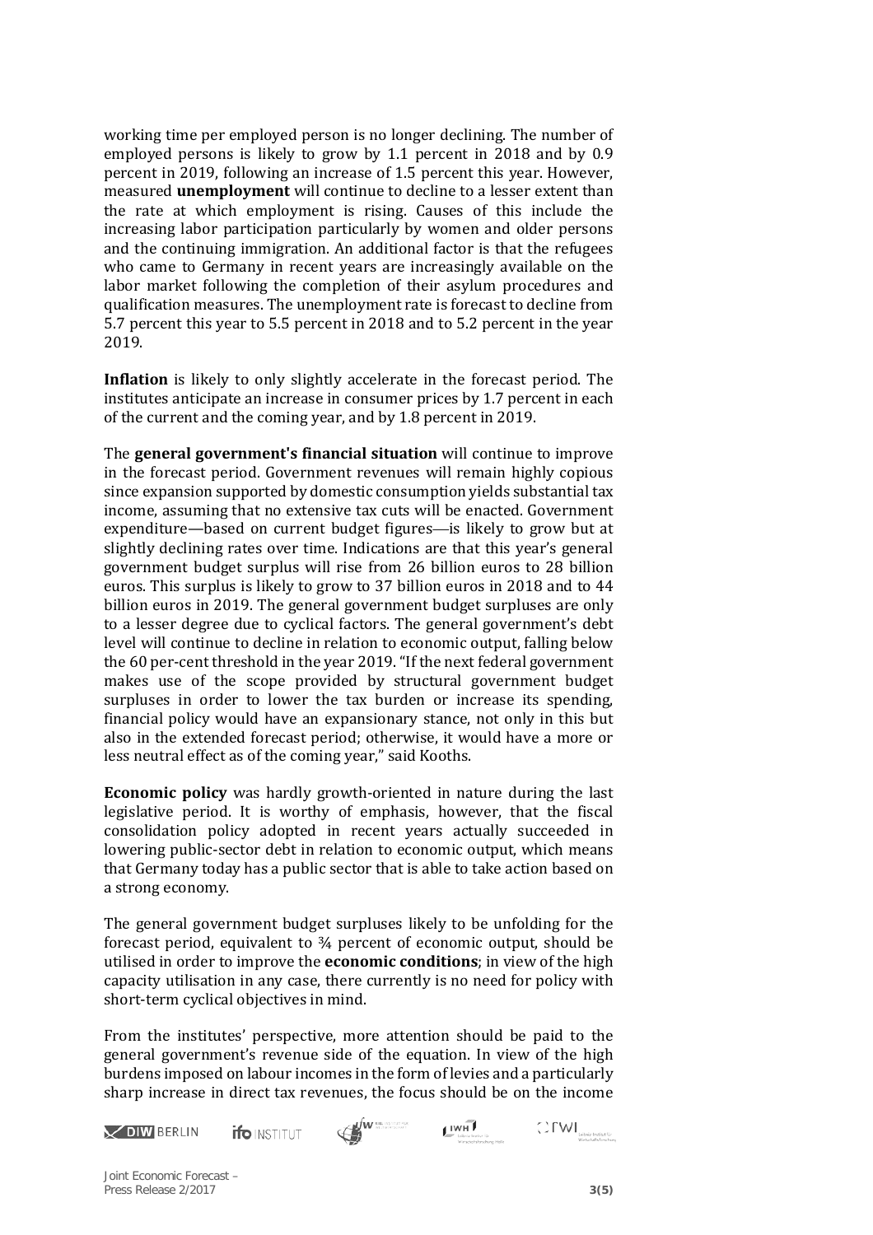working time per employed person is no longer declining. The number of employed persons is likely to grow by 1.1 percent in 2018 and by 0.9 percent in 2019, following an increase of 1.5 percent this year. However, measured **unemployment** will continue to decline to a lesser extent than the rate at which employment is rising. Causes of this include the increasing labor participation particularly by women and older persons and the continuing immigration. An additional factor is that the refugees who came to Germany in recent years are increasingly available on the labor market following the completion of their asylum procedures and qualification measures. The unemployment rate is forecast to decline from 5.7 percent this year to 5.5 percent in 2018 and to 5.2 percent in the year 2019.

**Inflation** is likely to only slightly accelerate in the forecast period. The institutes anticipate an increase in consumer prices by 1.7 percent in each of the current and the coming year, and by 1.8 percent in 2019.

The **general government's financial situation** will continue to improve in the forecast period. Government revenues will remain highly copious since expansion supported by domestic consumption yields substantial tax income, assuming that no extensive tax cuts will be enacted. Government expenditure—based on current budget figures—is likely to grow but at slightly declining rates over time. Indications are that this year's general government budget surplus will rise from 26 billion euros to 28 billion euros. This surplus is likely to grow to 37 billion euros in 2018 and to 44 billion euros in 2019. The general government budget surpluses are only to a lesser degree due to cyclical factors. The general government's debt level will continue to decline in relation to economic output, falling below the 60 per-cent threshold in the year 2019. "If the next federal government makes use of the scope provided by structural government budget surpluses in order to lower the tax burden or increase its spending, financial policy would have an expansionary stance, not only in this but also in the extended forecast period; otherwise, it would have a more or less neutral effect as of the coming year," said Kooths.

**Economic policy** was hardly growth-oriented in nature during the last legislative period. It is worthy of emphasis, however, that the fiscal consolidation policy adopted in recent years actually succeeded in lowering public-sector debt in relation to economic output, which means that Germany today has a public sector that is able to take action based on a strong economy.

The general government budget surpluses likely to be unfolding for the forecast period, equivalent to ¾ percent of economic output, should be utilised in order to improve the **economic conditions**; in view of the high capacity utilisation in any case, there currently is no need for policy with short-term cyclical objectives in mind.

From the institutes' perspective, more attention should be paid to the general government's revenue side of the equation. In view of the high burdens imposed on labour incomes in the form of levies and a particularly sharp increase in direct tax revenues, the focus should be on the income









Joint Economic Forecast – Press Release 2/2017 **3(5)**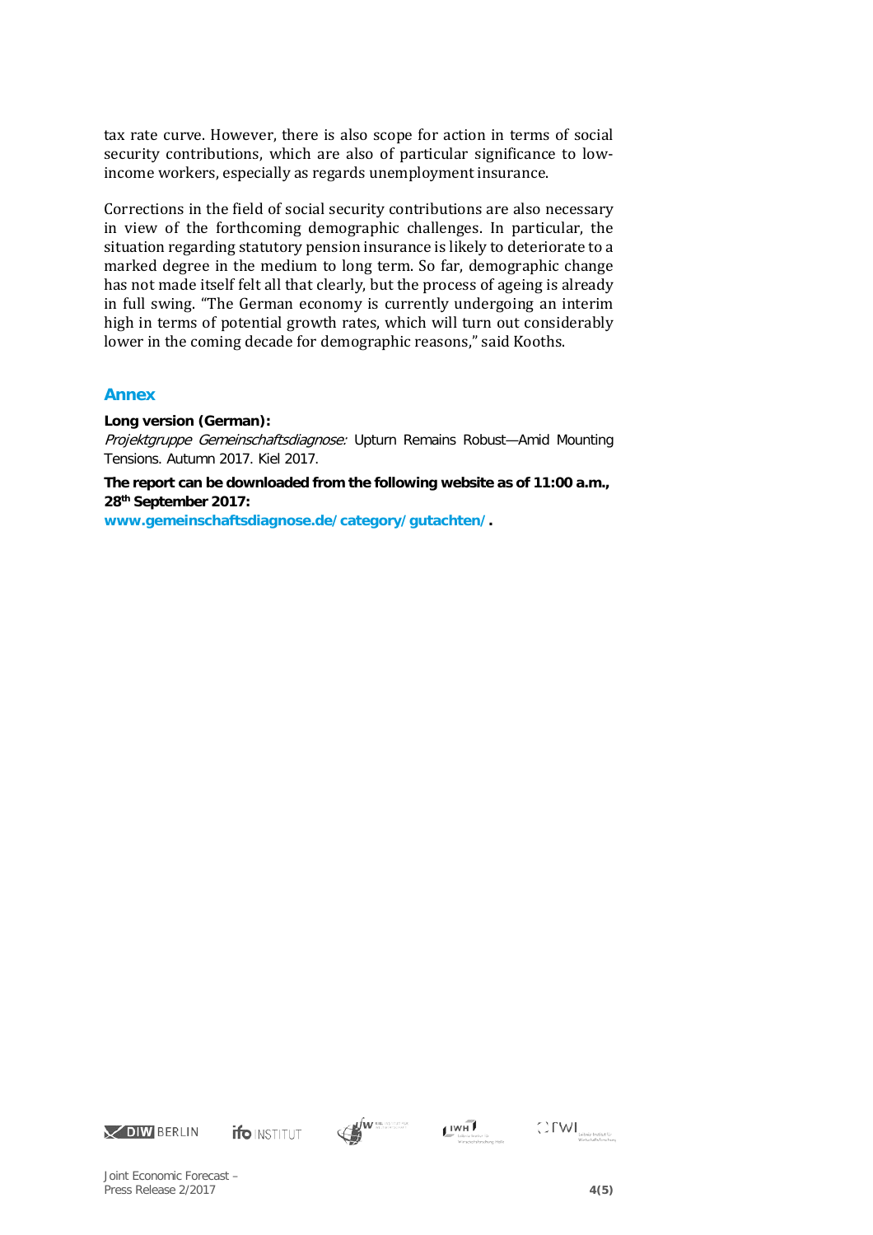tax rate curve. However, there is also scope for action in terms of social security contributions, which are also of particular significance to lowincome workers, especially as regards unemployment insurance.

Corrections in the field of social security contributions are also necessary in view of the forthcoming demographic challenges. In particular, the situation regarding statutory pension insurance is likely to deteriorate to a marked degree in the medium to long term. So far, demographic change has not made itself felt all that clearly, but the process of ageing is already in full swing. "The German economy is currently undergoing an interim high in terms of potential growth rates, which will turn out considerably lower in the coming decade for demographic reasons," said Kooths.

## **Annex**

**Long version (German):**

Projektgruppe Gemeinschaftsdiagnose: Upturn Remains Robust-Amid Mounting Tensions. Autumn 2017. Kiel 2017.

**The report can be downloaded from the following website as of 11:00 a.m., 28th September 2017:** 

**[www.gemeinschaftsdiagnose.de/category/gutachten/.](http://www.gemeinschaftsdiagnose.de/category/gutachten/)**











Joint Economic Forecast – Press Release 2/2017 **4(5)**